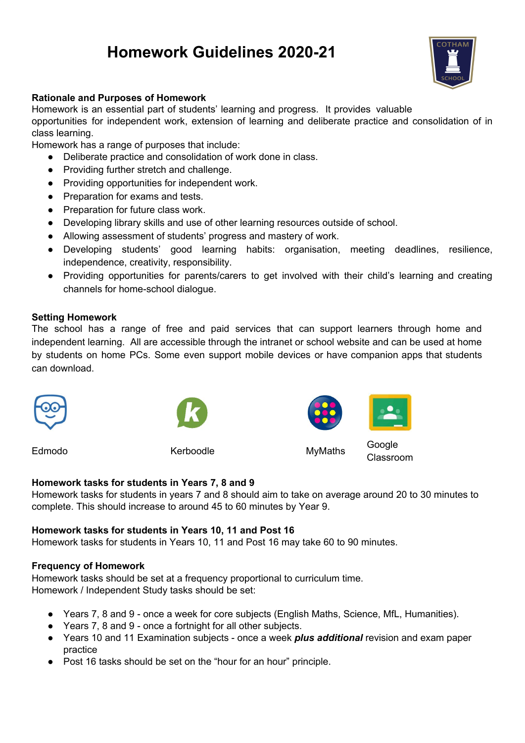# **Homework Guidelines 2020-21**



## **Rationale and Purposes of Homework**

Homework is an essential part of students' learning and progress. It provides valuable

opportunities for independent work, extension of learning and deliberate practice and consolidation of in class learning.

Homework has a range of purposes that include:

- Deliberate practice and consolidation of work done in class.
- Providing further stretch and challenge.
- Providing opportunities for independent work.
- Preparation for exams and tests.
- Preparation for future class work.
- Developing library skills and use of other learning resources outside of school.
- Allowing assessment of students' progress and mastery of work.
- Developing students' good learning habits: organisation, meeting deadlines, resilience, independence, creativity, responsibility.
- Providing opportunities for parents/carers to get involved with their child's learning and creating channels for home-school dialogue.

## **Setting Homework**

The school has a range of free and paid services that can support learners through home and independent learning. All are accessible through the intranet or school website and can be used at home by students on home PCs. Some even support mobile devices or have companion apps that students can download.



Edmodo Kerboodle MyMaths



Google Classroom

### **Homework tasks for students in Years 7, 8 and 9**

Homework tasks for students in years 7 and 8 should aim to take on average around 20 to 30 minutes to complete. This should increase to around 45 to 60 minutes by Year 9.

### **Homework tasks for students in Years 10, 11 and Post 16**

Homework tasks for students in Years 10, 11 and Post 16 may take 60 to 90 minutes.

### **Frequency of Homework**

Homework tasks should be set at a frequency proportional to curriculum time. Homework / Independent Study tasks should be set:

- Years 7, 8 and 9 once a week for core subjects (English Maths, Science, MfL, Humanities).
- Years 7, 8 and 9 once a fortnight for all other subjects.
- Years 10 and 11 Examination subjects once a week *plus additional* revision and exam paper practice
- Post 16 tasks should be set on the "hour for an hour" principle.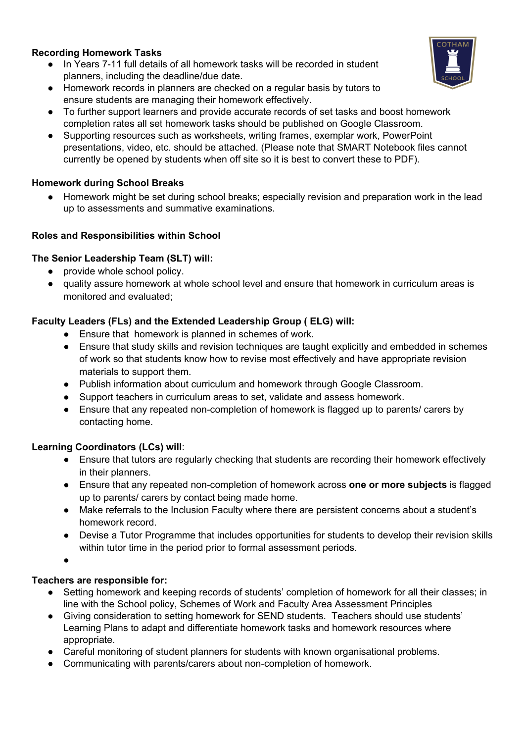# **Recording Homework Tasks**

- In Years 7-11 full details of all homework tasks will be recorded in student planners, including the deadline/due date.
- Homework records in planners are checked on a regular basis by tutors to ensure students are managing their homework effectively.
- To further support learners and provide accurate records of set tasks and boost homework completion rates all set homework tasks should be published on Google Classroom.
- Supporting resources such as worksheets, writing frames, exemplar work, PowerPoint presentations, video, etc. should be attached. (Please note that SMART Notebook files cannot currently be opened by students when off site so it is best to convert these to PDF).

## **Homework during School Breaks**

Homework might be set during school breaks; especially revision and preparation work in the lead up to assessments and summative examinations.

## **Roles and Responsibilities within School**

## **The Senior Leadership Team (SLT) will:**

- provide whole school policy.
- quality assure homework at whole school level and ensure that homework in curriculum areas is monitored and evaluated;

## **Faculty Leaders (FLs) and the Extended Leadership Group ( ELG) will:**

- Ensure that homework is planned in schemes of work.
- Ensure that study skills and revision techniques are taught explicitly and embedded in schemes of work so that students know how to revise most effectively and have appropriate revision materials to support them.
- Publish information about curriculum and homework through Google Classroom.
- Support teachers in curriculum areas to set, validate and assess homework.
- Ensure that any repeated non-completion of homework is flagged up to parents/ carers by contacting home.

### **Learning Coordinators (LCs) will**:

- Ensure that tutors are regularly checking that students are recording their homework effectively in their planners.
- Ensure that any repeated non-completion of homework across **one or more subjects** is flagged up to parents/ carers by contact being made home.
- Make referrals to the Inclusion Faculty where there are persistent concerns about a student's homework record.
- Devise a Tutor Programme that includes opportunities for students to develop their revision skills within tutor time in the period prior to formal assessment periods.

**●**

# **Teachers are responsible for:**

- Setting homework and keeping records of students' completion of homework for all their classes; in line with the School policy, Schemes of Work and Faculty Area Assessment Principles
- Giving consideration to setting homework for SEND students. Teachers should use students' Learning Plans to adapt and differentiate homework tasks and homework resources where appropriate.
- Careful monitoring of student planners for students with known organisational problems.
- Communicating with parents/carers about non-completion of homework.